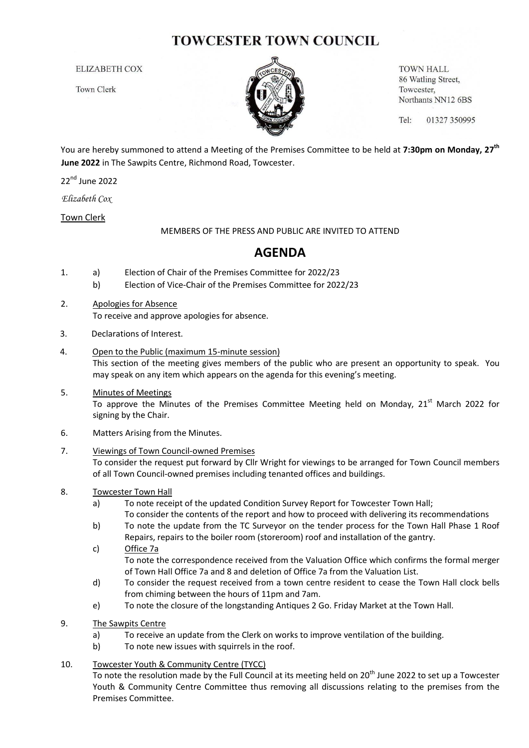# **TOWCESTER TOWN COUNCIL**

**ELIZABETH COX** 

**Town Clerk** 



**TOWN HALL** 86 Watling Street, Towcester, Northants NN12 6BS

Tel: 01327 350995

You are hereby summoned to attend a Meeting of the Premises Committee to be held at **7:30pm on Monday, 27th June 2022** in The Sawpits Centre, Richmond Road, Towcester.

22<sup>nd</sup> June 2022

*Elizabeth Cox*

Town Clerk

MEMBERS OF THE PRESS AND PUBLIC ARE INVITED TO ATTEND

## **AGENDA**

- 1. a) Election of Chair of the Premises Committee for 2022/23
	- b) Election of Vice-Chair of the Premises Committee for 2022/23
- 2. Apologies for Absence To receive and approve apologies for absence.
- 3. Declarations of Interest.
- 4. Open to the Public (maximum 15-minute session) This section of the meeting gives members of the public who are present an opportunity to speak. You may speak on any item which appears on the agenda for this evening's meeting.
- 5. Minutes of Meetings To approve the Minutes of the Premises Committee Meeting held on Monday,  $21<sup>st</sup>$  March 2022 for signing by the Chair.
- 6. Matters Arising from the Minutes.

### 7. Viewings of Town Council-owned Premises

To consider the request put forward by Cllr Wright for viewings to be arranged for Town Council members of all Town Council-owned premises including tenanted offices and buildings.

### 8. Towcester Town Hall

- a) To note receipt of the updated Condition Survey Report for Towcester Town Hall; To consider the contents of the report and how to proceed with delivering its recommendations
- b) To note the update from the TC Surveyor on the tender process for the Town Hall Phase 1 Roof Repairs, repairs to the boiler room (storeroom) roof and installation of the gantry.
- c) Office 7a To note the correspondence received from the Valuation Office which confirms the formal merger of Town Hall Office 7a and 8 and deletion of Office 7a from the Valuation List.
- d) To consider the request received from a town centre resident to cease the Town Hall clock bells from chiming between the hours of 11pm and 7am.
- e) To note the closure of the longstanding Antiques 2 Go. Friday Market at the Town Hall.
- 9. The Sawpits Centre
	- a) To receive an update from the Clerk on works to improve ventilation of the building.
	- b) To note new issues with squirrels in the roof.

### 10. Towcester Youth & Community Centre (TYCC)

To note the resolution made by the Full Council at its meeting held on 20<sup>th</sup> June 2022 to set up a Towcester Youth & Community Centre Committee thus removing all discussions relating to the premises from the Premises Committee.